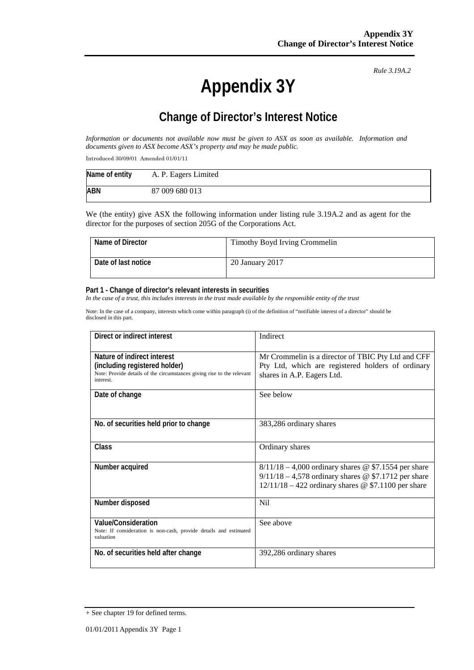# **Appendix 3Y**

*Rule 3.19A.2*

# **Change of Director's Interest Notice**

*Information or documents not available now must be given to ASX as soon as available. Information and documents given to ASX become ASX's property and may be made public.*

Introduced 30/09/01 Amended 01/01/11

| Name of entity | A. P. Eagers Limited |
|----------------|----------------------|
| <b>ABN</b>     | 87 009 680 013       |

We (the entity) give ASX the following information under listing rule 3.19A.2 and as agent for the director for the purposes of section 205G of the Corporations Act.

| Name of Director    | Timothy Boyd Irving Crommelin |
|---------------------|-------------------------------|
| Date of last notice | 20 January 2017               |

#### **Part 1 - Change of director's relevant interests in securities**

*In the case of a trust, this includes interests in the trust made available by the responsible entity of the trust*

Note: In the case of a company, interests which come within paragraph (i) of the definition of "notifiable interest of a director" should be disclosed in this part.

| Direct or indirect interest                                                                                                                         | Indirect                                                                                                                                                                  |  |
|-----------------------------------------------------------------------------------------------------------------------------------------------------|---------------------------------------------------------------------------------------------------------------------------------------------------------------------------|--|
| Nature of indirect interest<br>(including registered holder)<br>Note: Provide details of the circumstances giving rise to the relevant<br>interest. | Mr Crommelin is a director of TBIC Pty Ltd and CFF<br>Pty Ltd, which are registered holders of ordinary<br>shares in A.P. Eagers Ltd.                                     |  |
| Date of change                                                                                                                                      | See below                                                                                                                                                                 |  |
| No. of securities held prior to change                                                                                                              | 383,286 ordinary shares                                                                                                                                                   |  |
| <b>Class</b>                                                                                                                                        | Ordinary shares                                                                                                                                                           |  |
| Number acquired                                                                                                                                     | $8/11/18 - 4,000$ ordinary shares @ \$7.1554 per share<br>$9/11/18 - 4,578$ ordinary shares @ \$7.1712 per share<br>$12/11/18 - 422$ ordinary shares @ \$7.1100 per share |  |
| Number disposed                                                                                                                                     | N <sub>i</sub> l                                                                                                                                                          |  |
| Value/Consideration<br>Note: If consideration is non-cash, provide details and estimated<br>valuation                                               | See above                                                                                                                                                                 |  |
| No. of securities held after change                                                                                                                 | 392,286 ordinary shares                                                                                                                                                   |  |

<sup>+</sup> See chapter 19 for defined terms.